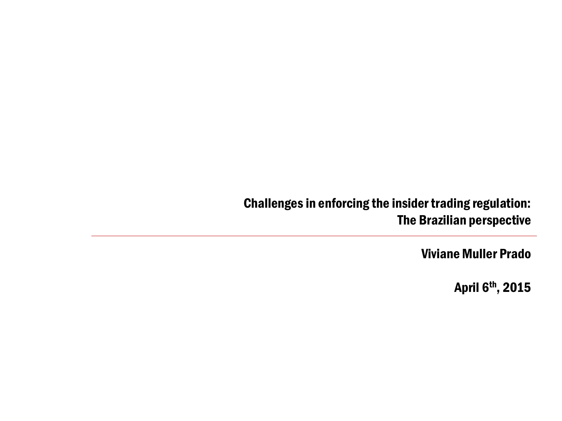#### Challenges in enforcing the insider trading regulation: The Brazilian perspective

Viviane Muller Prado

April 6th, 2015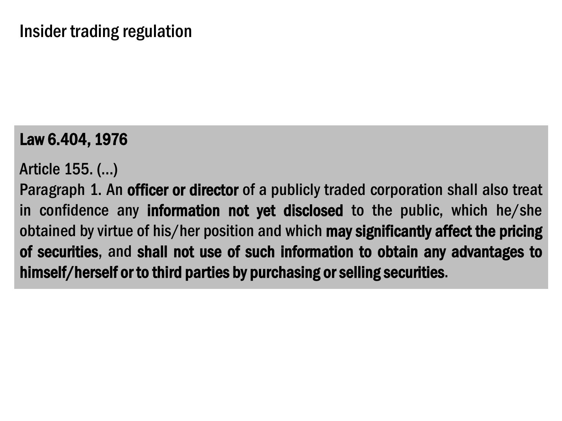### Law 6.404, 1976

Article 155. (…)

Paragraph 1. An officer or director of a publicly traded corporation shall also treat in confidence any information not yet disclosed to the public, which he/she obtained by virtue of his/her position and which may significantly affect the pricing of securities, and shall not use of such information to obtain any advantages to himself/herself or to third parties by purchasing or selling securities.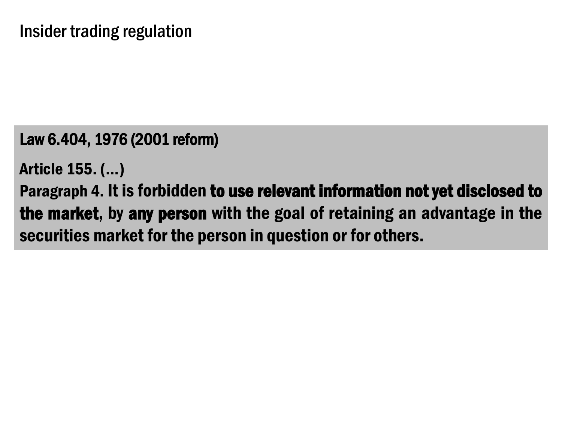Law 6.404, 1976 (2001 reform)

Article 155. (…)

Paragraph 4. It is forbidden to use relevant information not yet disclosed to the market, by any person with the goal of retaining an advantage in the securities market for the person in question or for others.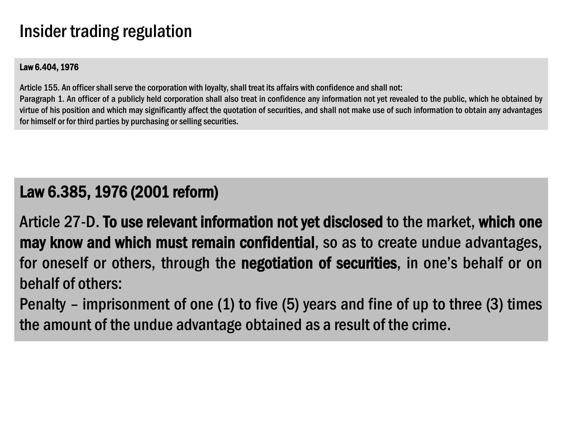## Insider trading regulation

#### Law 6.404, 1976

Article 155. An officer shall serve the corporation with loyalty, shall treat its affairs with confidence and shall not: Paragraph 1. An officer of a publicly held corporation shall also treat in confidence any information not yet revealed to the public, which he obtained by virtue of his position and which may significantly affect the quotation of securities, and shall not make use of such information to obtain any advantages for himself or for third parties by purchasing or selling securities.

#### Law 6.385, 1976 (2001 reform)

Article 27-D. To use relevant information not yet disclosed to the market, which one may know and which must remain confidential, so as to create undue advantages, for oneself or others, through the negotiation of securities, in one's behalf or on behalf of others:

Penalty – imprisonment of one (1) to five (5) years and fine of up to three (3) times the amount of the undue advantage obtained as a result of the crime.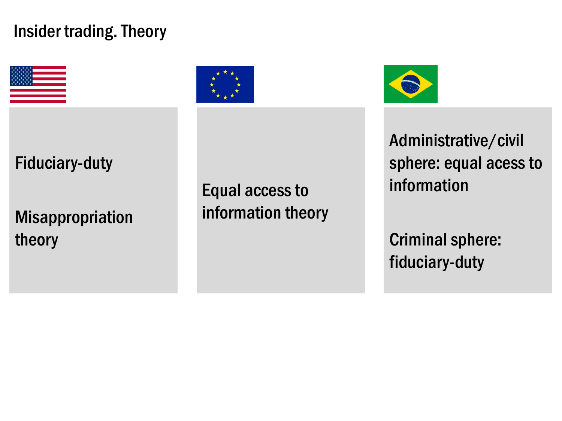# Insider trading. Theory



Fiduciary-duty

[Misappropriation](Esqueleto_apresenta%C3%A7%C3%A3o_Fordham.docx) theory



Equal accessto [information](Esqueleto_apresenta%C3%A7%C3%A3o_Fordham.docx) theory



[Administrative/civil](Esqueleto_apresenta%C3%A7%C3%A3o_Fordham.docx)  sphere: equal acess to information

Criminal sphere: fiduciary-duty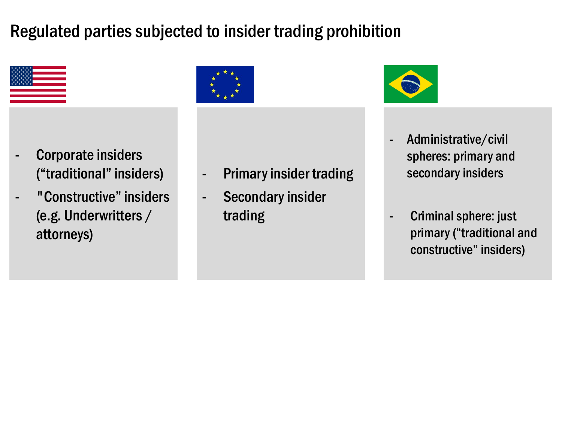# Regulated parties subjected to insider trading prohibition



- Corporate insiders ("traditional" insiders)
- "Constructive" insiders [\(e.g. Underwritters](Esqueleto_apresenta%C3%A7%C3%A3o_Fordham.docx) / attorneys)



- Primary insider trading
- Secondary insider trading



- Administrative/civil spheres: primary and secondary insiders
- [Criminal sphere: just](Esqueleto_apresenta%C3%A7%C3%A3o_Fordham.docx) primary ("traditional and constructive" insiders)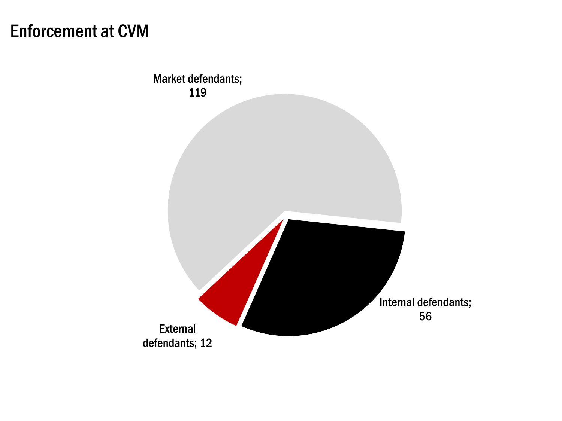# Enforcement at CVM

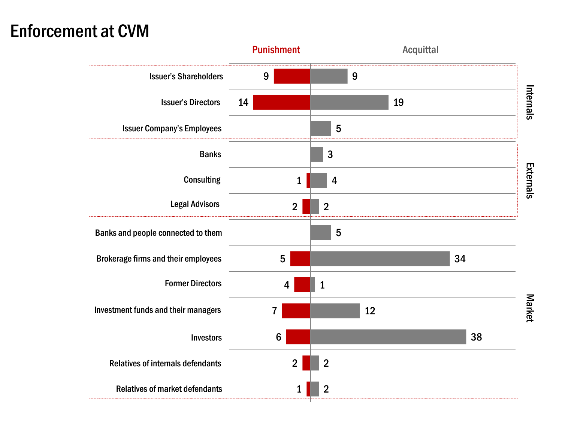# Enforcement at CVM

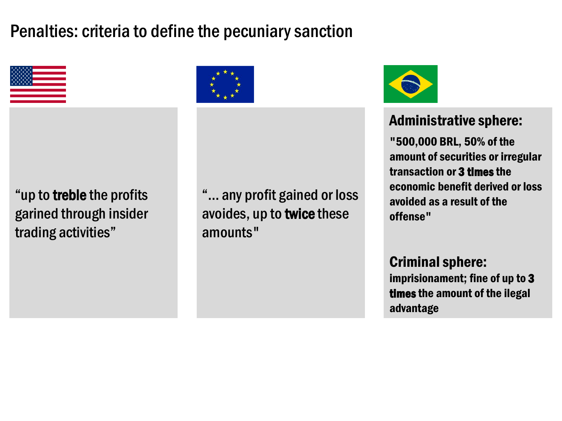# Penalties: criteria to define the pecuniary sanction



"up to treble the profits garined through insider [trading activities](Esqueleto_apresenta%C3%A7%C3%A3o_Fordham.docx)"



"... any profit gained or loss [avoides, up](Esqueleto_apresenta%C3%A7%C3%A3o_Fordham.docx) to twice these amounts"



#### Administrative sphere:

"500,000 BRL, 50% of the amount of securities or irregular transaction or 3 times the economic benefit derived or loss avoided as a result of the offense"

[Criminal sphere:](Esqueleto_apresenta%C3%A7%C3%A3o_Fordham.docx)  imprisionament; fine of up to 3

times the amount of the ilegal advantage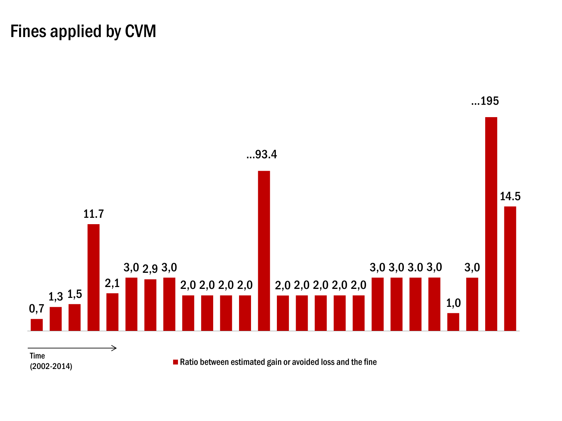# Fines applied by CVM

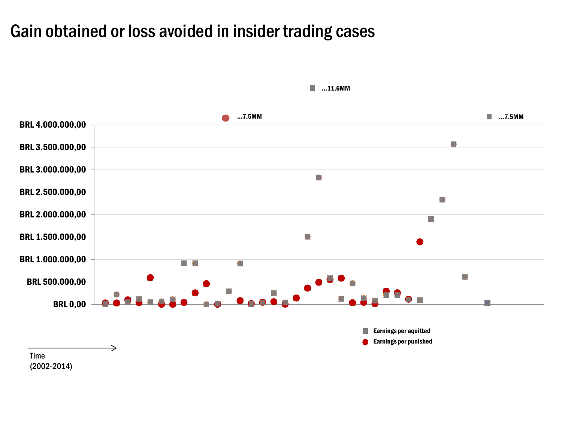#### Gain obtained or loss avoided in insider trading cases



 $\mathcal{L}_{\mathcal{A}}$ ...11.6MM

Time (2002-2014)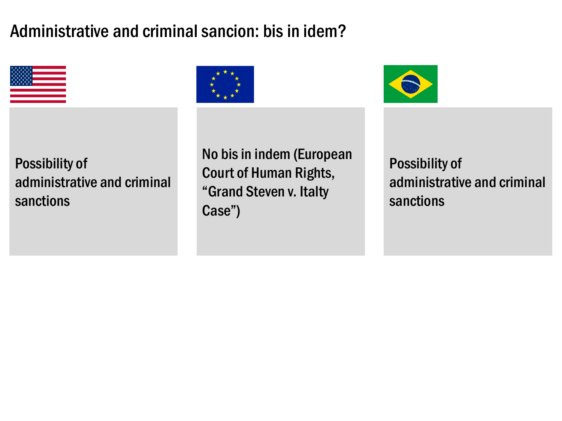# Administrative and criminal sancion: bis in idem?



Possibility of [administrative](Esqueleto_apresenta%C3%A7%C3%A3o_Fordham.docx) and criminal sanctions



No bis in indem (European Court of Human Rights, ["Grand Steven v.](Esqueleto_apresenta%C3%A7%C3%A3o_Fordham.docx) Italty Case")

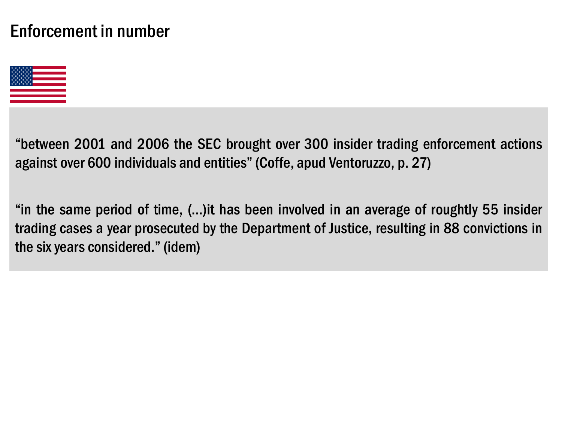## Enforcement in number



"between 2001 and 2006 the SEC brought over 300 insider trading [enforcement](Esqueleto_apresenta%C3%A7%C3%A3o_Fordham.docx) actions against over 600 individuals and entities"(Coffe, apud Ventoruzzo, p. 27)

"in the same period of time, (...)it has been involved in an average of roughtly 55 insider trading cases a year prosecuted by the Department of Justice, resulting in 88 convictions in the six years considered."(idem)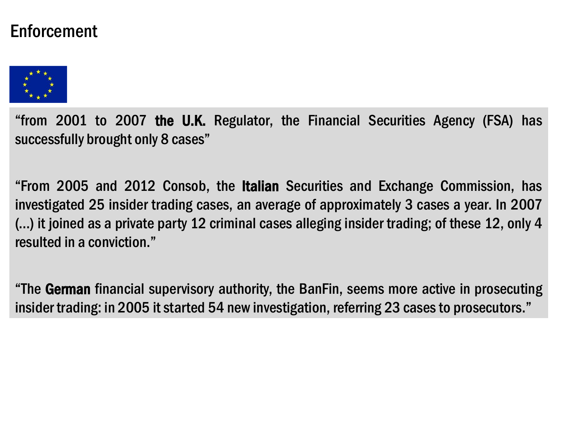#### Enforcement



"from 2001 to 2007 [the U.K. Regulator,](Esqueleto_apresenta%C3%A7%C3%A3o_Fordham.docx) the Financial Securities Agency (FSA) has successfully brought only 8 cases"

"From 2005 and 2012 Consob, the Italian Securities and Exchange Commission, has investigated 25 insider trading cases, an average of approximately 3 cases a year. In 2007 (...) it joined as a private party 12 criminal cases alleging insider trading; of these 12, only 4 resulted in a conviction."

"The German financial supervisory authority, the BanFin, seems more active in prosecuting insider trading: in 2005 it started 54 new investigation, referring 23 cases to prosecutors."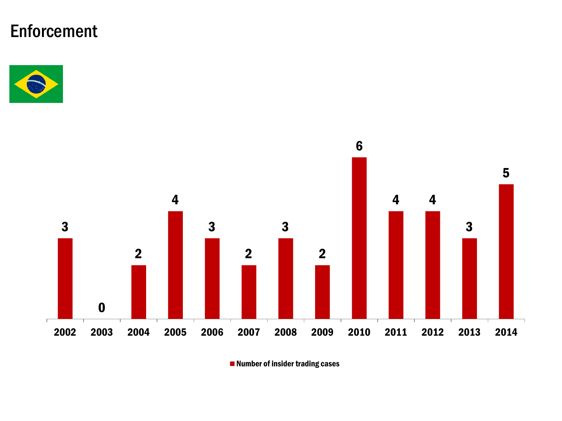# Enforcement





■ Number of insider trading cases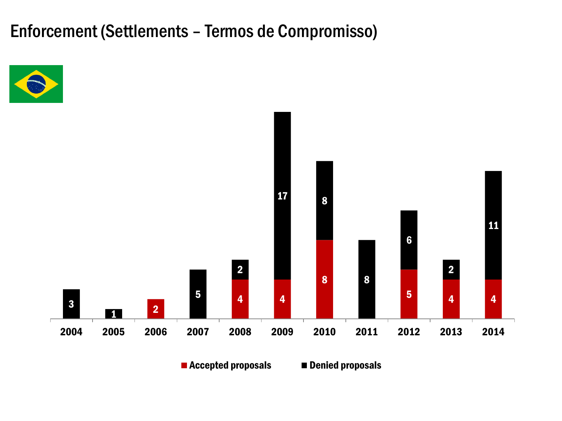Enforcement (Settlements – Termos de Compromisso)





■ Accepted proposals ■ Denied proposals